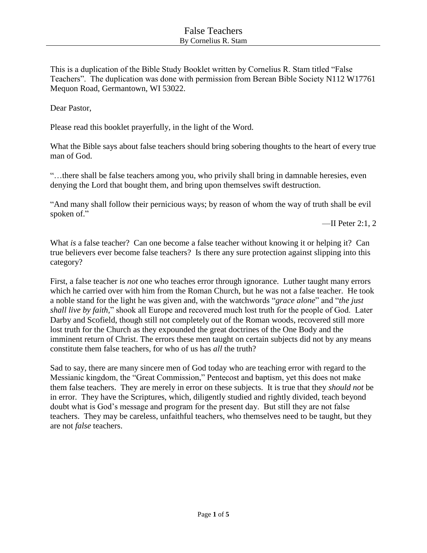This is a duplication of the Bible Study Booklet written by Cornelius R. Stam titled "False Teachers". The duplication was done with permission from Berean Bible Society N112 W17761 Mequon Road, Germantown, WI 53022.

Dear Pastor,

Please read this booklet prayerfully, in the light of the Word.

What the Bible says about false teachers should bring sobering thoughts to the heart of every true man of God.

"…there shall be false teachers among you, who privily shall bring in damnable heresies, even denying the Lord that bought them, and bring upon themselves swift destruction.

"And many shall follow their pernicious ways; by reason of whom the way of truth shall be evil spoken of."

—II Peter 2:1, 2

What *is* a false teacher? Can one become a false teacher without knowing it or helping it? Can true believers ever become false teachers? Is there any sure protection against slipping into this category?

First, a false teacher is *not* one who teaches error through ignorance. Luther taught many errors which he carried over with him from the Roman Church, but he was not a false teacher. He took a noble stand for the light he was given and, with the watchwords "*grace alone*" and "*the just shall live by faith,*" shook all Europe and recovered much lost truth for the people of God. Later Darby and Scofield, though still not completely out of the Roman woods, recovered still more lost truth for the Church as they expounded the great doctrines of the One Body and the imminent return of Christ. The errors these men taught on certain subjects did not by any means constitute them false teachers, for who of us has *all* the truth?

Sad to say, there are many sincere men of God today who are teaching error with regard to the Messianic kingdom, the "Great Commission," Pentecost and baptism, yet this does not make them false teachers. They are merely in error on these subjects. It is true that they *should not* be in error. They have the Scriptures, which, diligently studied and rightly divided, teach beyond doubt what is God's message and program for the present day. But still they are not false teachers. They may be careless, unfaithful teachers, who themselves need to be taught, but they are not *false* teachers.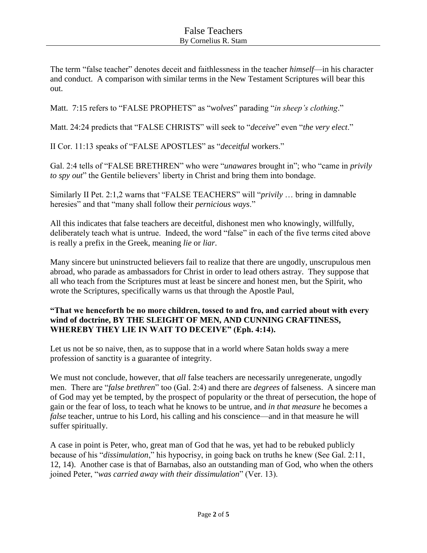The term "false teacher" denotes deceit and faithlessness in the teacher *himself*—in his character and conduct. A comparison with similar terms in the New Testament Scriptures will bear this out.

Matt. 7:15 refers to "FALSE PROPHETS" as "*wolves*" parading "*in sheep's clothing*."

Matt. 24:24 predicts that "FALSE CHRISTS" will seek to "*deceive*" even "*the very elect*."

II Cor. 11:13 speaks of "FALSE APOSTLES" as "*deceitful* workers."

Gal. 2:4 tells of "FALSE BRETHREN" who were "*unawares* brought in"; who "came in *privily to spy out*" the Gentile believers' liberty in Christ and bring them into bondage.

Similarly II Pet. 2:1,2 warns that "FALSE TEACHERS" will "*privily* … bring in damnable heresies" and that "many shall follow their *pernicious ways*."

All this indicates that false teachers are deceitful, dishonest men who knowingly, willfully, deliberately teach what is untrue. Indeed, the word "false" in each of the five terms cited above is really a prefix in the Greek, meaning *lie* or *liar*.

Many sincere but uninstructed believers fail to realize that there are ungodly, unscrupulous men abroad, who parade as ambassadors for Christ in order to lead others astray. They suppose that all who teach from the Scriptures must at least be sincere and honest men, but the Spirit, who wrote the Scriptures, specifically warns us that through the Apostle Paul,

## **"That we henceforth be no more children, tossed to and fro, and carried about with every wind of doctrine, BY THE SLEIGHT OF MEN, AND CUNNING CRAFTINESS, WHEREBY THEY LIE IN WAIT TO DECEIVE" (Eph. 4:14).**

Let us not be so naive, then, as to suppose that in a world where Satan holds sway a mere profession of sanctity is a guarantee of integrity.

We must not conclude, however, that *all* false teachers are necessarily unregenerate, ungodly men. There are "*false brethren*" too (Gal. 2:4) and there are *degrees* of falseness. A sincere man of God may yet be tempted, by the prospect of popularity or the threat of persecution, the hope of gain or the fear of loss, to teach what he knows to be untrue, and *in that measure* he becomes a *false* teacher, untrue to his Lord, his calling and his conscience—and in that measure he will suffer spiritually.

A case in point is Peter, who, great man of God that he was, yet had to be rebuked publicly because of his "*dissimulation*," his hypocrisy, in going back on truths he knew (See Gal. 2:11, 12, 14). Another case is that of Barnabas, also an outstanding man of God, who when the others joined Peter, "*was carried away with their dissimulation*" (Ver. 13).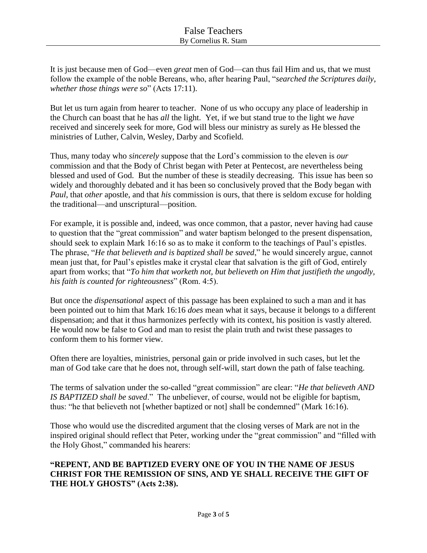It is just because men of God—even *great* men of God—can thus fail Him and us, that we must follow the example of the noble Bereans, who, after hearing Paul, "*searched the Scriptures daily, whether those things were so*" (Acts 17:11).

But let us turn again from hearer to teacher. None of us who occupy any place of leadership in the Church can boast that he has *all* the light. Yet, if we but stand true to the light we *have* received and sincerely seek for more, God will bless our ministry as surely as He blessed the ministries of Luther, Calvin, Wesley, Darby and Scofield.

Thus, many today who *sincerely* suppose that the Lord's commission to the eleven is *our* commission and that the Body of Christ began with Peter at Pentecost, are nevertheless being blessed and used of God. But the number of these is steadily decreasing. This issue has been so widely and thoroughly debated and it has been so conclusively proved that the Body began with *Paul*, that *other* apostle, and that *his* commission is ours, that there is seldom excuse for holding the traditional—and unscriptural—position.

For example, it is possible and, indeed, was once common, that a pastor, never having had cause to question that the "great commission" and water baptism belonged to the present dispensation, should seek to explain Mark 16:16 so as to make it conform to the teachings of Paul's epistles. The phrase, "*He that believeth and is baptized shall be saved*," he would sincerely argue, cannot mean just that, for Paul's epistles make it crystal clear that salvation is the gift of God, entirely apart from works; that "*To him that worketh not, but believeth on Him that justifieth the ungodly, his faith is counted for righteousness*" (Rom. 4:5).

But once the *dispensational* aspect of this passage has been explained to such a man and it has been pointed out to him that Mark 16:16 *does* mean what it says, because it belongs to a different dispensation; and that it thus harmonizes perfectly with its context, his position is vastly altered. He would now be false to God and man to resist the plain truth and twist these passages to conform them to his former view.

Often there are loyalties, ministries, personal gain or pride involved in such cases, but let the man of God take care that he does not, through self-will, start down the path of false teaching.

The terms of salvation under the so-called "great commission" are clear: "*He that believeth AND IS BAPTIZED shall be saved*." The unbeliever, of course, would not be eligible for baptism, thus: "he that believeth not [whether baptized or not] shall be condemned" (Mark 16:16).

Those who would use the discredited argument that the closing verses of Mark are not in the inspired original should reflect that Peter, working under the "great commission" and "filled with the Holy Ghost," commanded his hearers:

## **"REPENT, AND BE BAPTIZED EVERY ONE OF YOU IN THE NAME OF JESUS CHRIST FOR THE REMISSION OF SINS, AND YE SHALL RECEIVE THE GIFT OF THE HOLY GHOSTS" (Acts 2:38).**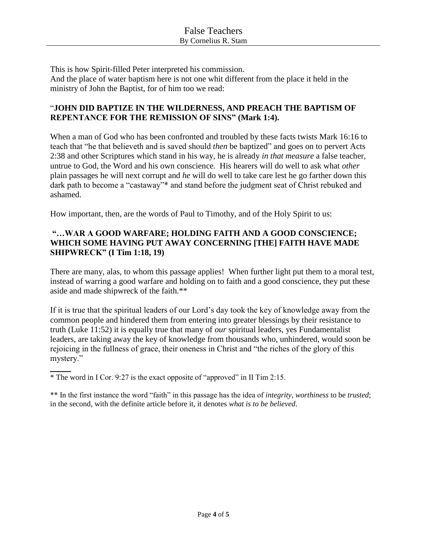This is how Spirit-filled Peter interpreted his commission. And the place of water baptism here is not one whit different from the place it held in the ministry of John the Baptist, for of him too we read:

## "**JOHN DID BAPTIZE IN THE WILDERNESS, AND PREACH THE BAPTISM OF REPENTANCE FOR THE REMISSION OF SINS" (Mark 1:4).**

When a man of God who has been confronted and troubled by these facts twists Mark 16:16 to teach that "he that believeth and is saved should *then* be baptized" and goes on to pervert Acts 2:38 and other Scriptures which stand in his way, he is already *in that measure* a false teacher, untrue to God, the Word and his own conscience. His hearers will do well to ask what *other* plain passages he will next corrupt and *he* will do well to take care lest he go farther down this dark path to become a "castaway"\* and stand before the judgment seat of Christ rebuked and ashamed.

How important, then, are the words of Paul to Timothy, and of the Holy Spirit to us:

## **"…WAR A GOOD WARFARE; HOLDING FAITH AND A GOOD CONSCIENCE; WHICH SOME HAVING PUT AWAY CONCERNING [THE] FAITH HAVE MADE SHIPWRECK" (I Tim 1:18, 19)**

There are many, alas, to whom this passage applies! When further light put them to a moral test, instead of warring a good warfare and holding on to faith and a good conscience, they put these aside and made shipwreck of the faith.\*\*

If it is true that the spiritual leaders of our Lord's day took the key of knowledge away from the common people and hindered them from entering into greater blessings by their resistance to truth (Luke 11:52) it is equally true that many of *our* spiritual leaders, yes Fundamentalist leaders, are taking away the key of knowledge from thousands who, unhindered, would soon be rejoicing in the fullness of grace, their oneness in Christ and "the riches of the glory of this mystery."

 $\overline{\phantom{a}}$ \* The word in I Cor. 9:27 is the exact opposite of "approved" in II Tim 2:15.

\*\* In the first instance the word "faith" in this passage has the idea of *integrity*, *worthiness* to be *trusted*; in the second, with the definite article before it, it denotes *what is to be believed*.